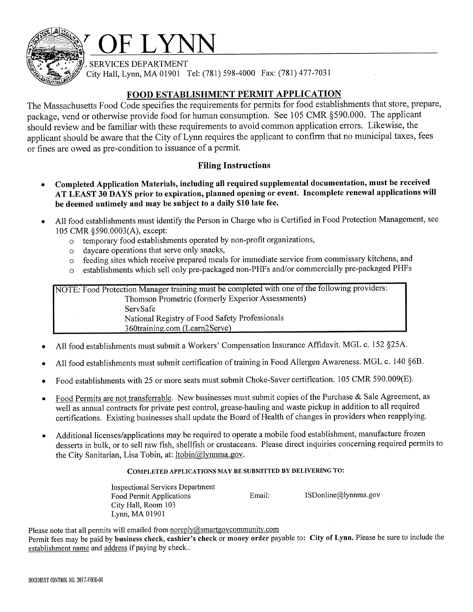

SERVICES DEPARTMENT

City Hall, Lynn, MA 01901 Tel: (781) 598-4000 Fax: (781) 477-7031

#### FOOD ESTABLISHMENT PERMIT APPLICATION

The Massachusetts Food Code specifies the requirements for permits for food establishments that store, prepare, package, vend or otherwise provide food for human consumption. See 105 CMR §590.000. The applicant should review and be familiar with these requirements to avoid common application errors. Likewise, the applicant should be aware that the City of Lynn requires the applicant to confirm that no municipal taxes, fees or fines are owed as pre-condition to issuance of a permit.

#### **Filing Instructions**

- Completed Application Materials, including all required supplemental documentation, must be received AT LEAST 30 DAYS prior to expiration, planned opening or event. Incomplete renewal applications will be deemed untimely and may be subject to a daily \$10 late fee.
- All food establishments must identify the Person in Charge who is Certified in Food Protection Management, see 105 CMR §590.0003(A), except:
	- o temporary food establishments operated by non-profit organizations,
	- daycare operations that serve only snacks,  $\circ$
	- feeding sites which receive prepared meals for immediate service from commissary kitchens, and  $\circ$
	- establishments which sell only pre-packaged non-PHFs and/or commercially pre-packaged PHFs  $\Omega$

NOTE: Food Protection Manager training must be completed with one of the following providers: Thomson Prometric (formerly Experior Assessments) ServSafe National Registry of Food Safety Professionals 360training.com (Learn2Serve)

- All food establishments must submit a Workers' Compensation Insurance Affidavit. MGL c. 152 §25A.
- All food establishments must submit certification of training in Food Allergen Awareness. MGL c. 140 §6B.
- Food establishments with 25 or more seats must submit Choke-Saver certification. 105 CMR 590.009(E).
- Food Permits are not transferrable. New businesses must submit copies of the Purchase & Sale Agreement, as well as annual contracts for private pest control, grease-hauling and waste pickup in addition to all required certifications. Existing businesses shall update the Board of Health of changes in providers when reapplying.
- Additional licenses/applications may be required to operate a mobile food establishment, manufacture frozen desserts in bulk, or to sell raw fish, shellfish or crustaceans. Please direct inquiries concerning required permits to the City Sanitarian, Lisa Tobin, at: ltobin@lynnma.gov.

#### COMPLETED APPLICATIONS MAY BE SUBMITTED BY DELIVERING TO:

**Inspectional Services Department** ISDonline@lynnma.gov Food Permit Applications Email: City Hall, Room 103 Lynn, MA 01901

Please note that all permits will emailed from noreply@smartgovcommunity.com Permit fees may be paid by business check, cashier's check or money order payable to: City of Lynn. Please be sure to include the establishment name and address if paying by check..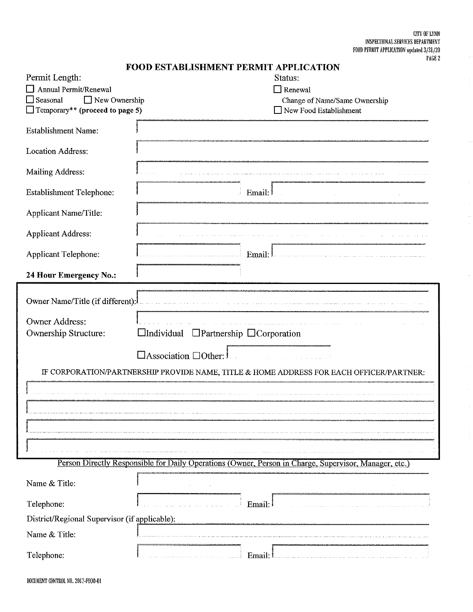${\tt CITY}$  OF  ${\tt LYNN}$ INSPECTIONAL SERVICES DEPARTMENT FOOD PERMIT APPLICATION updated 3/31/20<br>PAGE 2

 $\sim$ 

 $\frac{1}{2}$ 

 $\ldots$ 

 $\overline{a}$ 

 $\cdot$ 

|                                                                                                       | <b>FOOD ESTABLISHMENT PERMIT APPLICATION</b>                                            |  |  |  |
|-------------------------------------------------------------------------------------------------------|-----------------------------------------------------------------------------------------|--|--|--|
| Permit Length:                                                                                        | Status:                                                                                 |  |  |  |
| Annual Permit/Renewal                                                                                 | $\Box$ Renewal                                                                          |  |  |  |
| New Ownership<br>$\Box$ Seasonal                                                                      | Change of Name/Same Ownership                                                           |  |  |  |
| $\Box$ Temporary** (proceed to page 5)                                                                | New Food Establishment                                                                  |  |  |  |
| <b>Establishment Name:</b>                                                                            |                                                                                         |  |  |  |
| Location Address:                                                                                     |                                                                                         |  |  |  |
| Mailing Address:                                                                                      |                                                                                         |  |  |  |
| <b>Establishment Telephone:</b>                                                                       | Email:                                                                                  |  |  |  |
| Applicant Name/Title:                                                                                 |                                                                                         |  |  |  |
| <b>Applicant Address:</b>                                                                             |                                                                                         |  |  |  |
| Applicant Telephone:                                                                                  | Email:                                                                                  |  |  |  |
| 24 Hour Emergency No.:                                                                                |                                                                                         |  |  |  |
|                                                                                                       |                                                                                         |  |  |  |
| Owner Name/Title (if different):                                                                      |                                                                                         |  |  |  |
| Owner Address:                                                                                        |                                                                                         |  |  |  |
| Ownership Structure:                                                                                  | $\Box$ Individual<br>$\Box$ Partnership $\Box$ Corporation                              |  |  |  |
|                                                                                                       |                                                                                         |  |  |  |
|                                                                                                       | $\Box$ Association $\Box$ Other:                                                        |  |  |  |
|                                                                                                       |                                                                                         |  |  |  |
|                                                                                                       | IF CORPORATION/PARTNERSHIP PROVIDE NAME, TITLE & HOME ADDRESS FOR EACH OFFICER/PARTNER: |  |  |  |
|                                                                                                       |                                                                                         |  |  |  |
|                                                                                                       |                                                                                         |  |  |  |
|                                                                                                       |                                                                                         |  |  |  |
|                                                                                                       |                                                                                         |  |  |  |
|                                                                                                       |                                                                                         |  |  |  |
|                                                                                                       |                                                                                         |  |  |  |
|                                                                                                       |                                                                                         |  |  |  |
| Person Directly Responsible for Daily Operations (Owner, Person in Charge, Supervisor, Manager, etc.) |                                                                                         |  |  |  |
| Name & Title:                                                                                         |                                                                                         |  |  |  |
| Telephone:                                                                                            | Email:                                                                                  |  |  |  |
| District/Regional Supervisor (if applicable):                                                         |                                                                                         |  |  |  |
| Name & Title:                                                                                         |                                                                                         |  |  |  |
| Telephone:                                                                                            | Email:                                                                                  |  |  |  |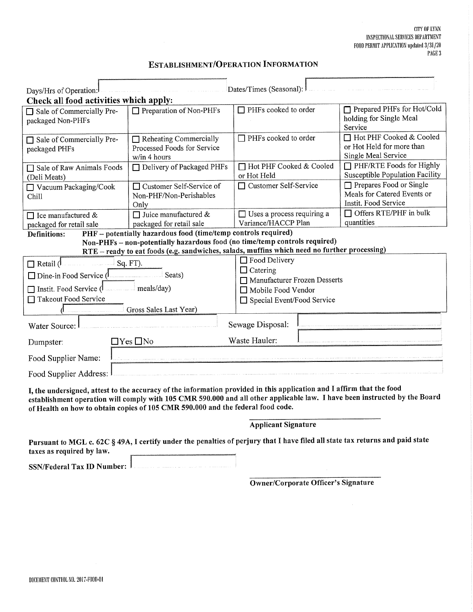#### **CITY OF LYNN** INSPECTIONAL SERVICES DEPARTMENT FOOD PERMIT APPLICATION updated 3/31/20 PAGE 3

| Dates/Times (Seasonal):<br>Days/Hrs of Operation:                                                                                                                                                                                                                                                                                      |                                                                              |                                                     |                                                                                |  |  |  |
|----------------------------------------------------------------------------------------------------------------------------------------------------------------------------------------------------------------------------------------------------------------------------------------------------------------------------------------|------------------------------------------------------------------------------|-----------------------------------------------------|--------------------------------------------------------------------------------|--|--|--|
| Check all food activities which apply:<br>Sale of Commercially Pre-<br>packaged Non-PHFs                                                                                                                                                                                                                                               | $\Box$ Preparation of Non-PHFs                                               | $\Box$ PHFs cooked to order                         | $\Box$ Prepared PHFs for Hot/Cold<br>holding for Single Meal<br>Service        |  |  |  |
| □ Sale of Commercially Pre-<br>packaged PHFs                                                                                                                                                                                                                                                                                           | $\Box$ Reheating Commercially<br>Processed Foods for Service<br>w/in 4 hours | □ PHFs cooked to order                              | □ Hot PHF Cooked & Cooled<br>or Hot Held for more than<br>Single Meal Service  |  |  |  |
| □ Sale of Raw Animals Foods<br>(Deli Meats)                                                                                                                                                                                                                                                                                            | $\Box$ Delivery of Packaged PHFs                                             | □ Hot PHF Cooked & Cooled<br>or Hot Held            | $\Box$ PHF/RTE Foods for Highly<br>Susceptible Population Facility             |  |  |  |
| □ Vacuum Packaging/Cook<br>Chill                                                                                                                                                                                                                                                                                                       | □ Customer Self-Service of<br>Non-PHF/Non-Perishables<br>Only                | □ Customer Self-Service                             | Prepares Food or Single<br>Meals for Catered Events or<br>Instit. Food Service |  |  |  |
| $\Box$ Ice manufactured &<br>packaged for retail sale                                                                                                                                                                                                                                                                                  | $\Box$ Juice manufactured &<br>packaged for retail sale                      | □ Uses a process requiring a<br>Variance/HACCP Plan | $\Box$ Offers RTE/PHF in bulk<br>quantities                                    |  |  |  |
| <b>Definitions:</b>                                                                                                                                                                                                                                                                                                                    | PHF - potentially hazardous food (time/temp controls required)               |                                                     |                                                                                |  |  |  |
| Non-PHFs - non-potentially hazardous food (no time/temp controls required)<br>RTE - ready to eat foods (e.g. sandwiches, salads, muffins which need no further processing)                                                                                                                                                             |                                                                              |                                                     |                                                                                |  |  |  |
|                                                                                                                                                                                                                                                                                                                                        |                                                                              | □ Food Delivery                                     |                                                                                |  |  |  |
| $\Box$ Retail $\Box$<br>$\Box$ Dine-in Food Service $\beta$                                                                                                                                                                                                                                                                            | Sq. FT).<br>Seats)                                                           | $\Box$ Catering<br>Manufacturer Frozen Desserts     |                                                                                |  |  |  |
| □ Instit. Food Service ( meals/day)                                                                                                                                                                                                                                                                                                    |                                                                              | □ Mobile Food Vendor                                |                                                                                |  |  |  |
| □ Takeout Food Service                                                                                                                                                                                                                                                                                                                 |                                                                              | □ Special Event/Food Service                        |                                                                                |  |  |  |
| Gross Sales Last Year)                                                                                                                                                                                                                                                                                                                 |                                                                              |                                                     |                                                                                |  |  |  |
| Water Source:                                                                                                                                                                                                                                                                                                                          |                                                                              | Sewage Disposal:                                    |                                                                                |  |  |  |
| Dumpster:                                                                                                                                                                                                                                                                                                                              | $\Box$ Yes $\Box$ No                                                         | Waste Hauler:                                       |                                                                                |  |  |  |
| Food Supplier Name:                                                                                                                                                                                                                                                                                                                    |                                                                              |                                                     |                                                                                |  |  |  |
| Food Supplier Address:                                                                                                                                                                                                                                                                                                                 |                                                                              |                                                     |                                                                                |  |  |  |
| I, the undersigned, attest to the accuracy of the information provided in this application and I affirm that the food<br>establishment operation will comply with 105 CMR 590.000 and all other applicable law. I have been instructed by the Board<br>of Health on how to obtain copies of 105 CMR 590.000 and the federal food code. |                                                                              |                                                     |                                                                                |  |  |  |

**Applicant Signature** 

Pursuant to MGL c. 62C § 49A, I certify under the penalties of perjury that I have filed all state tax returns and paid state taxes as required by law.

SSN/Federal Tax ID Number:

Owner/Corporate Officer's Signature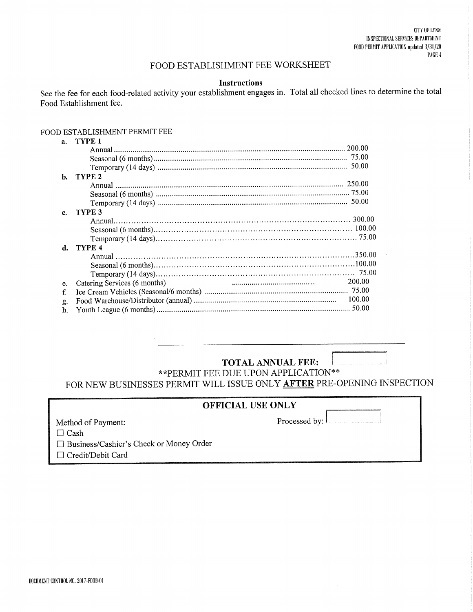### FOOD ESTABLISHMENT FEE WORKSHEET

#### **Instructions**

See the fee for each food-related activity your establishment engages in. Total all checked lines to determine the total Food Establishment fee.

#### FOOD ESTABLISHMENT PERMIT FEE

| $a_{\cdot}$ | TYPE 1                       |        |
|-------------|------------------------------|--------|
|             |                              |        |
|             |                              |        |
|             |                              |        |
| b.          | TYPE <sub>2</sub>            |        |
|             |                              |        |
|             |                              |        |
|             |                              |        |
| c.          | TYPE 3                       |        |
|             |                              |        |
|             |                              |        |
|             |                              |        |
| d.          | TYPE 4                       |        |
|             |                              |        |
|             |                              |        |
|             |                              |        |
| e.          | Catering Services (6 months) | 200.00 |
| f.          |                              |        |
| g.          |                              |        |
| h.          |                              |        |
|             |                              |        |

## **TOTAL ANNUAL FEE:**

\*\* PERMIT FEE DUE UPON APPLICATION\*\* FOR NEW BUSINESSES PERMIT WILL ISSUE ONLY AFTER PRE-OPENING INSPECTION

### **OFFICIAL USE ONLY**

Method of Payment:

Processed by:

 $\Box$  Cash

□ Business/Cashier's Check or Money Order

□ Credit/Debit Card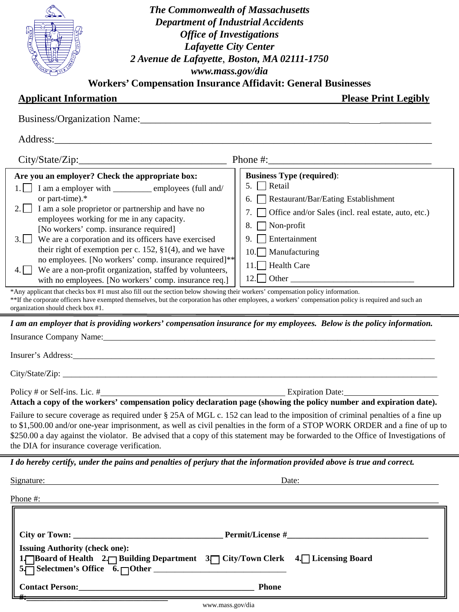| <b>The Commonwealth of Massachusetts</b>                                                                                                                                                                                       |                                                           |  |  |  |  |  |
|--------------------------------------------------------------------------------------------------------------------------------------------------------------------------------------------------------------------------------|-----------------------------------------------------------|--|--|--|--|--|
| <b>Department of Industrial Accidents</b>                                                                                                                                                                                      |                                                           |  |  |  |  |  |
| <b>Office of Investigations</b>                                                                                                                                                                                                |                                                           |  |  |  |  |  |
| <b>Lafayette City Center</b>                                                                                                                                                                                                   |                                                           |  |  |  |  |  |
|                                                                                                                                                                                                                                |                                                           |  |  |  |  |  |
| 2 Avenue de Lafayette, Boston, MA 02111-1750<br>www.mass.gov/dia                                                                                                                                                               |                                                           |  |  |  |  |  |
| <b>Workers' Compensation Insurance Affidavit: General Businesses</b>                                                                                                                                                           |                                                           |  |  |  |  |  |
|                                                                                                                                                                                                                                |                                                           |  |  |  |  |  |
| <b>Applicant Information</b>                                                                                                                                                                                                   | <b>Please Print Legibly</b>                               |  |  |  |  |  |
|                                                                                                                                                                                                                                |                                                           |  |  |  |  |  |
|                                                                                                                                                                                                                                |                                                           |  |  |  |  |  |
|                                                                                                                                                                                                                                | Phone $\#$ :                                              |  |  |  |  |  |
| Are you an employer? Check the appropriate box:                                                                                                                                                                                | <b>Business Type (required):</b>                          |  |  |  |  |  |
| $1.$ I am a employer with ____________ employees (full and/                                                                                                                                                                    | 5. Retail                                                 |  |  |  |  |  |
| or part-time).*                                                                                                                                                                                                                | Restaurant/Bar/Eating Establishment                       |  |  |  |  |  |
| 2.1<br>I am a sole proprietor or partnership and have no                                                                                                                                                                       | Office and/or Sales (incl. real estate, auto, etc.)<br>7. |  |  |  |  |  |
| employees working for me in any capacity.                                                                                                                                                                                      | $\blacksquare$ Non-profit<br>8.                           |  |  |  |  |  |
| [No workers' comp. insurance required]                                                                                                                                                                                         | Entertainment                                             |  |  |  |  |  |
| 3. We are a corporation and its officers have exercised<br>their right of exemption per c. 152, $\S1(4)$ , and we have                                                                                                         |                                                           |  |  |  |  |  |
| no employees. [No workers' comp. insurance required]**                                                                                                                                                                         | 10. Manufacturing                                         |  |  |  |  |  |
| We are a non-profit organization, staffed by volunteers,                                                                                                                                                                       | 11. Health Care                                           |  |  |  |  |  |
| with no employees. [No workers' comp. insurance req.]                                                                                                                                                                          |                                                           |  |  |  |  |  |
| *Any applicant that checks box #1 must also fill out the section below showing their workers' compensation policy information.                                                                                                 |                                                           |  |  |  |  |  |
| **If the corporate officers have exempted themselves, but the corporation has other employees, a workers' compensation policy is required and such an<br>organization should check box #1.                                     |                                                           |  |  |  |  |  |
|                                                                                                                                                                                                                                |                                                           |  |  |  |  |  |
| I am an employer that is providing workers' compensation insurance for my employees. Below is the policy information.                                                                                                          |                                                           |  |  |  |  |  |
| Insurance Company Name: Name Company Name Company Name Company Name Company Name Company Name Company Name Company of the Company of the Company of the Company of the Company of the Company of the Company of the Company of |                                                           |  |  |  |  |  |
|                                                                                                                                                                                                                                |                                                           |  |  |  |  |  |
|                                                                                                                                                                                                                                |                                                           |  |  |  |  |  |
|                                                                                                                                                                                                                                |                                                           |  |  |  |  |  |
| Policy # or Self-ins. Lic. #                                                                                                                                                                                                   | Expiration Date:                                          |  |  |  |  |  |
| Attach a copy of the workers' compensation policy declaration page (showing the policy number and expiration date).                                                                                                            |                                                           |  |  |  |  |  |
| Failure to secure coverage as required under § 25A of MGL c. 152 can lead to the imposition of criminal penalties of a fine up                                                                                                 |                                                           |  |  |  |  |  |
| to \$1,500.00 and/or one-year imprisonment, as well as civil penalties in the form of a STOP WORK ORDER and a fine of up to                                                                                                    |                                                           |  |  |  |  |  |
| \$250.00 a day against the violator. Be advised that a copy of this statement may be forwarded to the Office of Investigations of                                                                                              |                                                           |  |  |  |  |  |
| the DIA for insurance coverage verification.                                                                                                                                                                                   |                                                           |  |  |  |  |  |
| I do hereby certify, under the pains and penalties of perjury that the information provided above is true and correct.                                                                                                         |                                                           |  |  |  |  |  |
|                                                                                                                                                                                                                                |                                                           |  |  |  |  |  |
| Signature:                                                                                                                                                                                                                     | Date:                                                     |  |  |  |  |  |
| Phone #:                                                                                                                                                                                                                       |                                                           |  |  |  |  |  |
|                                                                                                                                                                                                                                |                                                           |  |  |  |  |  |
|                                                                                                                                                                                                                                |                                                           |  |  |  |  |  |
|                                                                                                                                                                                                                                |                                                           |  |  |  |  |  |
| <b>Issuing Authority (check one):</b>                                                                                                                                                                                          |                                                           |  |  |  |  |  |
| 1. Board of Health 2. Building Department 3. City/Town Clerk 4. Licensing Board                                                                                                                                                |                                                           |  |  |  |  |  |
|                                                                                                                                                                                                                                |                                                           |  |  |  |  |  |
|                                                                                                                                                                                                                                | <b>Phone</b>                                              |  |  |  |  |  |
|                                                                                                                                                                                                                                |                                                           |  |  |  |  |  |